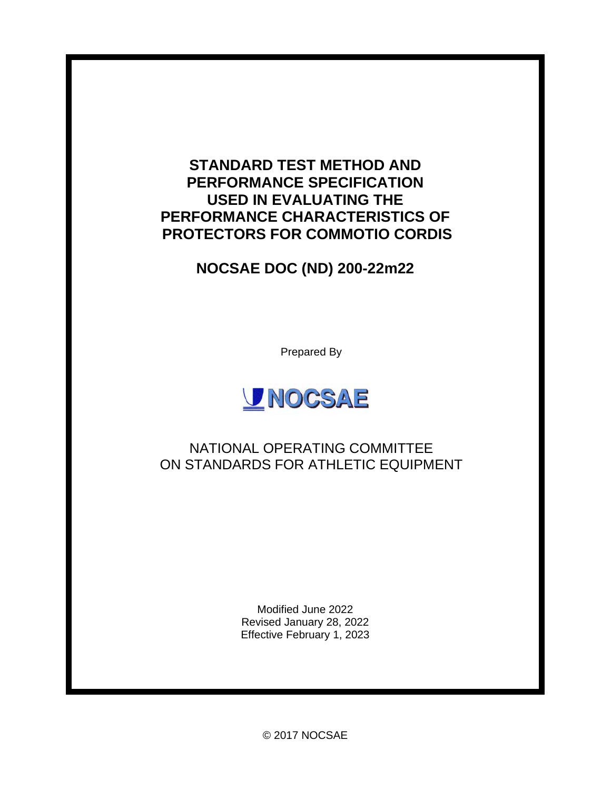## **STANDARD TEST METHOD AND PERFORMANCE SPECIFICATION USED IN EVALUATING THE PERFORMANCE CHARACTERISTICS OF PROTECTORS FOR COMMOTIO CORDIS**

# **NOCSAE DOC (ND) 200-22m22**

Prepared By



## NATIONAL OPERATING COMMITTEE ON STANDARDS FOR ATHLETIC EQUIPMENT

Modified June 2022 Revised January 28, 2022 Effective February 1, 2023

© 2017 NOCSAE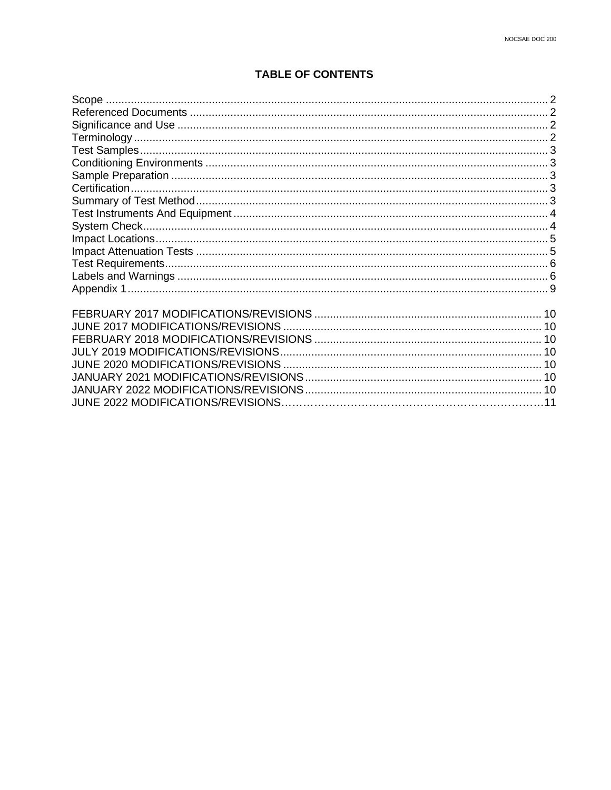## **TABLE OF CONTENTS**

|                                   | 2 |
|-----------------------------------|---|
|                                   |   |
|                                   |   |
|                                   |   |
|                                   |   |
|                                   |   |
|                                   |   |
|                                   |   |
|                                   |   |
|                                   |   |
|                                   |   |
|                                   |   |
|                                   |   |
|                                   |   |
|                                   |   |
|                                   |   |
|                                   |   |
|                                   |   |
|                                   |   |
|                                   |   |
|                                   |   |
|                                   |   |
|                                   |   |
|                                   |   |
| JUNE 2022 MODIFICATIONS/REVISIONS |   |
|                                   |   |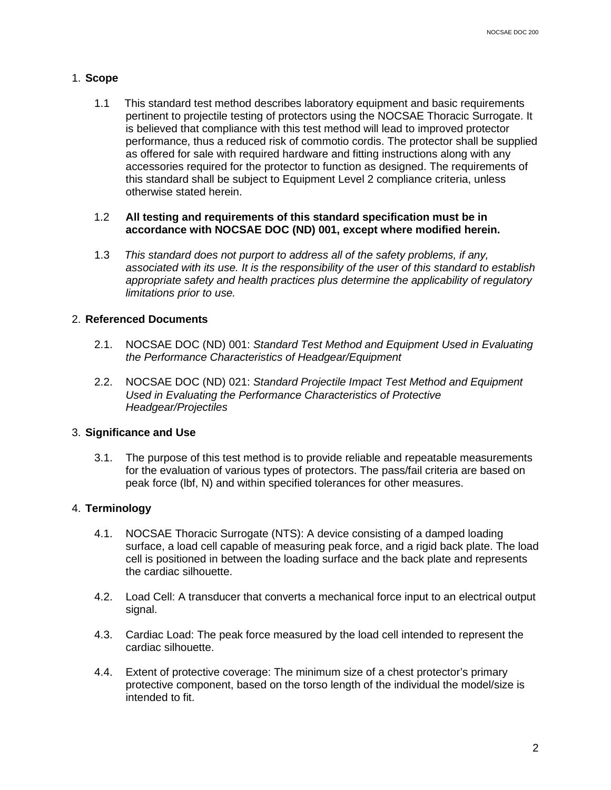#### <span id="page-2-2"></span>1. **Scope**

<span id="page-2-0"></span>1.1 This standard test method describes laboratory equipment and basic requirements pertinent to projectile testing of protectors using the NOCSAE Thoracic Surrogate. It is believed that compliance with this test method will lead to improved protector performance, thus a reduced risk of commotio cordis. The protector shall be supplied as offered for sale with required hardware and fitting instructions along with any accessories required for the protector to function as designed. The requirements of this standard shall be subject to Equipment Level 2 compliance criteria, unless otherwise stated herein.

#### 1.2 **All testing and requirements of this standard specification must be in accordance with NOCSAE DOC (ND) 001, except where modified herein.**

1.3 *This standard does not purport to address all of the safety problems, if any, associated with its use. It is the responsibility of the user of this standard to establish appropriate safety and health practices plus determine the applicability of regulatory limitations prior to use.*

#### 2. **Referenced Documents**

- <span id="page-2-1"></span>2.1. NOCSAE DOC (ND) 001: *Standard Test Method and Equipment Used in Evaluating the Performance Characteristics of Headgear/Equipment*
- 2.2. NOCSAE DOC (ND) 021: *Standard Projectile Impact Test Method and Equipment Used in Evaluating the Performance Characteristics of Protective Headgear/Projectiles*

#### 3. **Significance and Use**

3.1. The purpose of this test method is to provide reliable and repeatable measurements for the evaluation of various types of protectors. The pass/fail criteria are based on peak force (lbf, N) and within specified tolerances for other measures.

#### <span id="page-2-3"></span>4. **Terminology**

- 4.1. NOCSAE Thoracic Surrogate (NTS): A device consisting of a damped loading surface, a load cell capable of measuring peak force, and a rigid back plate. The load cell is positioned in between the loading surface and the back plate and represents the cardiac silhouette.
- 4.2. Load Cell: A transducer that converts a mechanical force input to an electrical output signal.
- 4.3. Cardiac Load: The peak force measured by the load cell intended to represent the cardiac silhouette.
- 4.4. Extent of protective coverage: The minimum size of a chest protector's primary protective component, based on the torso length of the individual the model/size is intended to fit.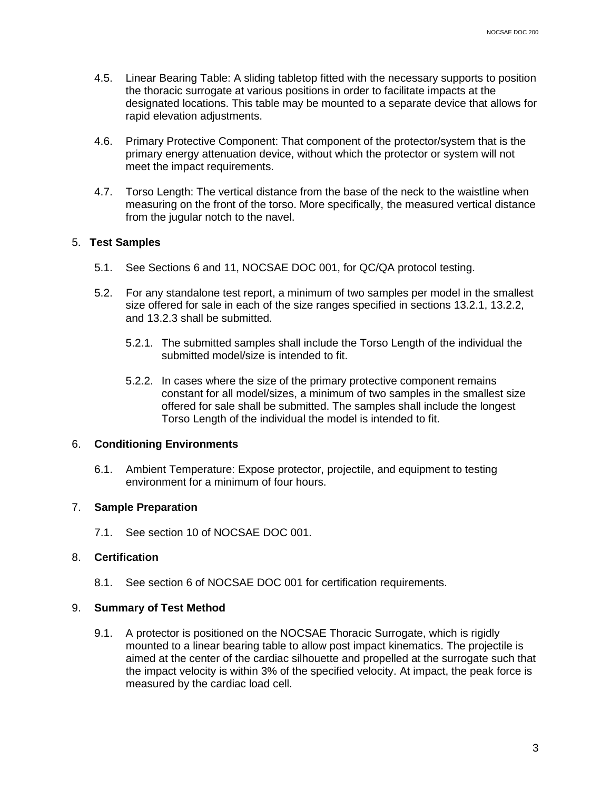- <span id="page-3-0"></span>4.5. Linear Bearing Table: A sliding tabletop fitted with the necessary supports to position the thoracic surrogate at various positions in order to facilitate impacts at the designated locations. This table may be mounted to a separate device that allows for rapid elevation adjustments.
- 4.6. Primary Protective Component: That component of the protector/system that is the primary energy attenuation device, without which the protector or system will not meet the impact requirements.
- 4.7. Torso Length: The vertical distance from the base of the neck to the waistline when measuring on the front of the torso. More specifically, the measured vertical distance from the jugular notch to the navel.

#### 5. **Test Samples**

- 5.1. See Sections 6 and 11, NOCSAE DOC 001, for QC/QA protocol testing.
- 5.2. For any standalone test report, a minimum of two samples per model in the smallest size offered for sale in each of the size ranges specified in sections 13.2.1, 13.2.2, and 13.2.3 shall be submitted.
	- 5.2.1. The submitted samples shall include the Torso Length of the individual the submitted model/size is intended to fit.
	- 5.2.2. In cases where the size of the primary protective component remains constant for all model/sizes, a minimum of two samples in the smallest size offered for sale shall be submitted. The samples shall include the longest Torso Length of the individual the model is intended to fit.

#### 6. **Conditioning Environments**

<span id="page-3-1"></span>6.1. Ambient Temperature: Expose protector, projectile, and equipment to testing environment for a minimum of four hours.

#### 7. **Sample Preparation**

<span id="page-3-2"></span>7.1. See section 10 of NOCSAE DOC 001.

#### 8. **Certification**

<span id="page-3-3"></span>8.1. See section 6 of NOCSAE DOC 001 for certification requirements.

#### 9. **Summary of Test Method**

9.1. A protector is positioned on the NOCSAE Thoracic Surrogate, which is rigidly mounted to a linear bearing table to allow post impact kinematics. The projectile is aimed at the center of the cardiac silhouette and propelled at the surrogate such that the impact velocity is within 3% of the specified velocity. At impact, the peak force is measured by the cardiac load cell.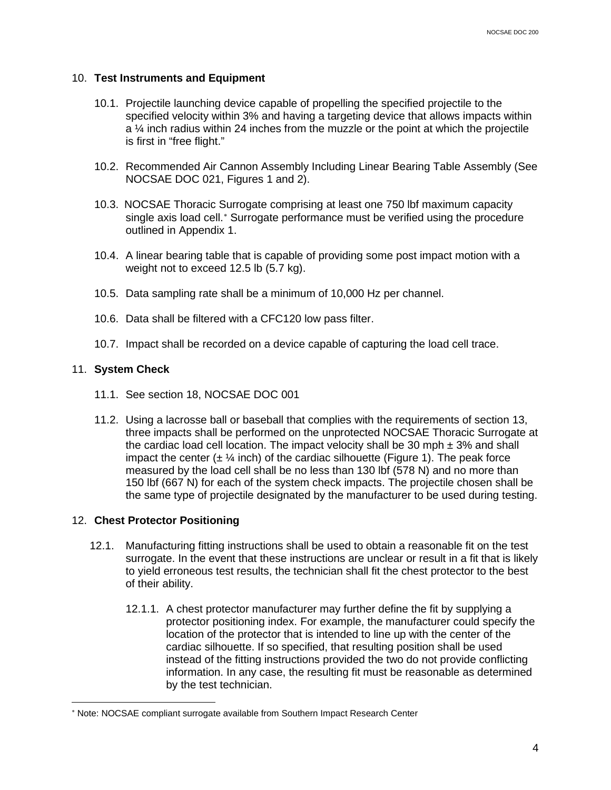#### <span id="page-4-1"></span>10. **Test Instruments and Equipment**

- <span id="page-4-0"></span>10.1. Projectile launching device capable of propelling the specified projectile to the specified velocity within 3% and having a targeting device that allows impacts within a ¼ inch radius within 24 inches from the muzzle or the point at which the projectile is first in "free flight."
- 10.2. Recommended Air Cannon Assembly Including Linear Bearing Table Assembly (See NOCSAE DOC 021, Figures 1 and 2).
- 10.3. NOCSAE Thoracic Surrogate comprising at least one 750 lbf maximum capacity single axis load cell.<sup>\*</sup> Surrogate performance must be verified using the procedure outlined in Appendix 1.
- 10.4. A linear bearing table that is capable of providing some post impact motion with a weight not to exceed 12.5 lb (5.7 kg).
- 10.5. Data sampling rate shall be a minimum of 10,000 Hz per channel.
- 10.6. Data shall be filtered with a CFC120 low pass filter.
- 10.7. Impact shall be recorded on a device capable of capturing the load cell trace.

#### 11. **System Check**

- 11.1. See section 18, NOCSAE DOC 001
- 11.2. Using a lacrosse ball or baseball that complies with the requirements of section 13, three impacts shall be performed on the unprotected NOCSAE Thoracic Surrogate at the cardiac load cell location. The impact velocity shall be 30 mph  $\pm$  3% and shall impact the center  $(\pm 1/4 \text{ inch})$  of the cardiac silhouette (Figure 1). The peak force measured by the load cell shall be no less than 130 lbf (578 N) and no more than 150 lbf (667 N) for each of the system check impacts. The projectile chosen shall be the same type of projectile designated by the manufacturer to be used during testing.

#### 12. **Chest Protector Positioning**

- 12.1. Manufacturing fitting instructions shall be used to obtain a reasonable fit on the test surrogate. In the event that these instructions are unclear or result in a fit that is likely to yield erroneous test results, the technician shall fit the chest protector to the best of their ability.
	- 12.1.1. A chest protector manufacturer may further define the fit by supplying a protector positioning index. For example, the manufacturer could specify the location of the protector that is intended to line up with the center of the cardiac silhouette. If so specified, that resulting position shall be used instead of the fitting instructions provided the two do not provide conflicting information. In any case, the resulting fit must be reasonable as determined by the test technician.

<span id="page-4-2"></span><sup>∗</sup> Note: NOCSAE compliant surrogate available from Southern Impact Research Center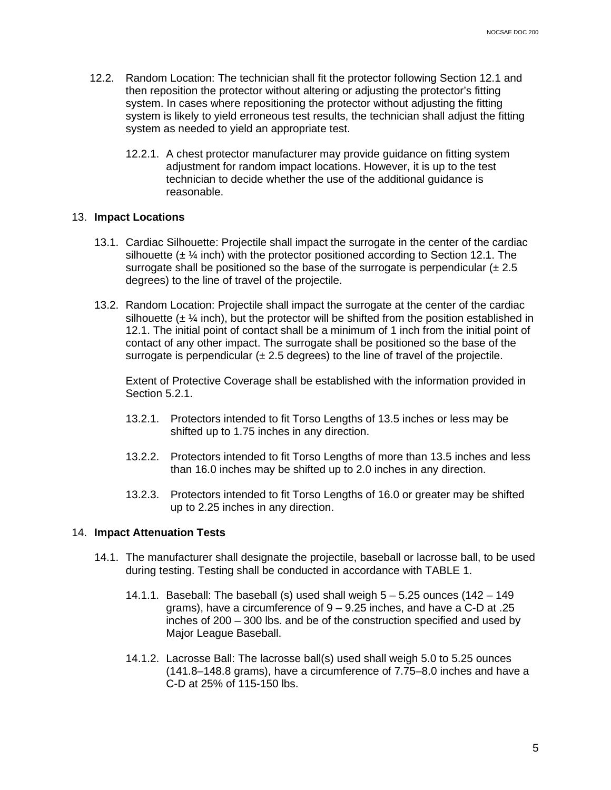- <span id="page-5-1"></span>12.2. Random Location: The technician shall fit the protector following Section 12.1 and then reposition the protector without altering or adjusting the protector's fitting system. In cases where repositioning the protector without adjusting the fitting system is likely to yield erroneous test results, the technician shall adjust the fitting system as needed to yield an appropriate test.
	- 12.2.1. A chest protector manufacturer may provide guidance on fitting system adjustment for random impact locations. However, it is up to the test technician to decide whether the use of the additional guidance is reasonable.

#### 13. **Impact Locations**

- <span id="page-5-0"></span>13.1. Cardiac Silhouette: Projectile shall impact the surrogate in the center of the cardiac silhouette ( $\pm$  ¼ inch) with the protector positioned according to Section 12.1. The surrogate shall be positioned so the base of the surrogate is perpendicular  $(\pm 2.5)$ degrees) to the line of travel of the projectile.
- 13.2. Random Location: Projectile shall impact the surrogate at the center of the cardiac silhouette  $(\pm 1/4)$  inch), but the protector will be shifted from the position established in 12.1. The initial point of contact shall be a minimum of 1 inch from the initial point of contact of any other impact. The surrogate shall be positioned so the base of the surrogate is perpendicular  $(\pm 2.5$  degrees) to the line of travel of the projectile.

Extent of Protective Coverage shall be established with the information provided in Section 5.2.1.

- 13.2.1. Protectors intended to fit Torso Lengths of 13.5 inches or less may be shifted up to 1.75 inches in any direction.
- 13.2.2. Protectors intended to fit Torso Lengths of more than 13.5 inches and less than 16.0 inches may be shifted up to 2.0 inches in any direction.
- 13.2.3. Protectors intended to fit Torso Lengths of 16.0 or greater may be shifted up to 2.25 inches in any direction.

#### 14. **Impact Attenuation Tests**

- 14.1. The manufacturer shall designate the projectile, baseball or lacrosse ball, to be used during testing. Testing shall be conducted in accordance with TABLE 1.
	- 14.1.1. Baseball: The baseball (s) used shall weigh  $5 5.25$  ounces (142 149 grams), have a circumference of 9 – 9.25 inches, and have a C-D at .25 inches of 200 – 300 lbs. and be of the construction specified and used by Major League Baseball.
	- 14.1.2. Lacrosse Ball: The lacrosse ball(s) used shall weigh 5.0 to 5.25 ounces (141.8–148.8 grams), have a circumference of  $7.75-8.0$  inches and have a C-D at 25% of 115-150 lbs.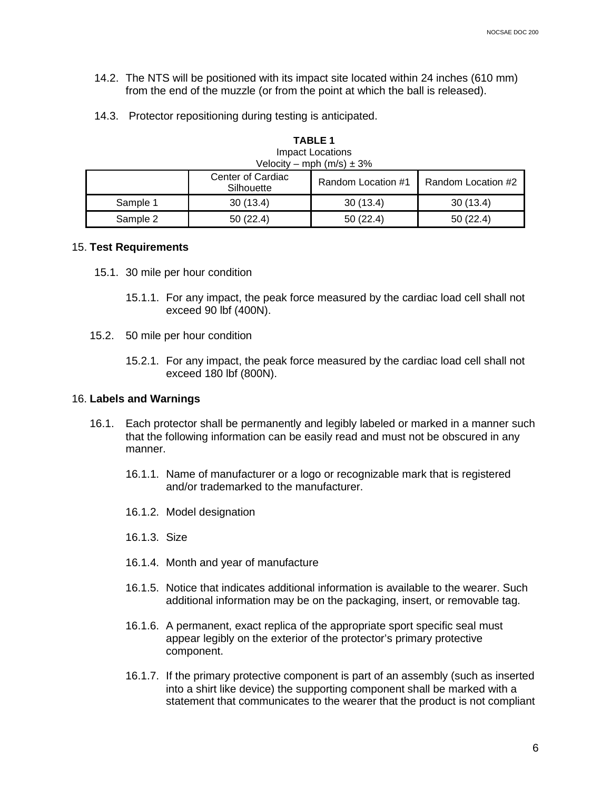- 14.2. The NTS will be positioned with its impact site located within 24 inches (610 mm) from the end of the muzzle (or from the point at which the ball is released).
- 14.3. Protector repositioning during testing is anticipated.

| Velocity – mph $(m/s) \pm 3\%$ |                                 |                    |                    |  |
|--------------------------------|---------------------------------|--------------------|--------------------|--|
|                                | Center of Cardiac<br>Silhouette | Random Location #1 | Random Location #2 |  |
| Sample 1                       | 30(13.4)                        | 30(13.4)           | 30(13.4)           |  |
| Sample 2                       | 50(22.4)                        | 50(22.4)           | 50(22.4)           |  |

**TABLE 1** Impact Locations

# 15. **Test Requirements**

- <span id="page-6-0"></span>15.1. 30 mile per hour condition
	- 15.1.1. For any impact, the peak force measured by the cardiac load cell shall not exceed 90 lbf (400N).
- 15.2. 50 mile per hour condition
	- 15.2.1. For any impact, the peak force measured by the cardiac load cell shall not exceed 180 lbf (800N).

#### 16. **Labels and Warnings**

- <span id="page-6-1"></span>16.1. Each protector shall be permanently and legibly labeled or marked in a manner such that the following information can be easily read and must not be obscured in any manner.
	- 16.1.1. Name of manufacturer or a logo or recognizable mark that is registered and/or trademarked to the manufacturer.
	- 16.1.2. Model designation
	- 16.1.3. Size
	- 16.1.4. Month and year of manufacture
	- 16.1.5. Notice that indicates additional information is available to the wearer. Such additional information may be on the packaging, insert, or removable tag.
	- 16.1.6. A permanent, exact replica of the appropriate sport specific seal must appear legibly on the exterior of the protector's primary protective component.
	- 16.1.7. If the primary protective component is part of an assembly (such as inserted into a shirt like device) the supporting component shall be marked with a statement that communicates to the wearer that the product is not compliant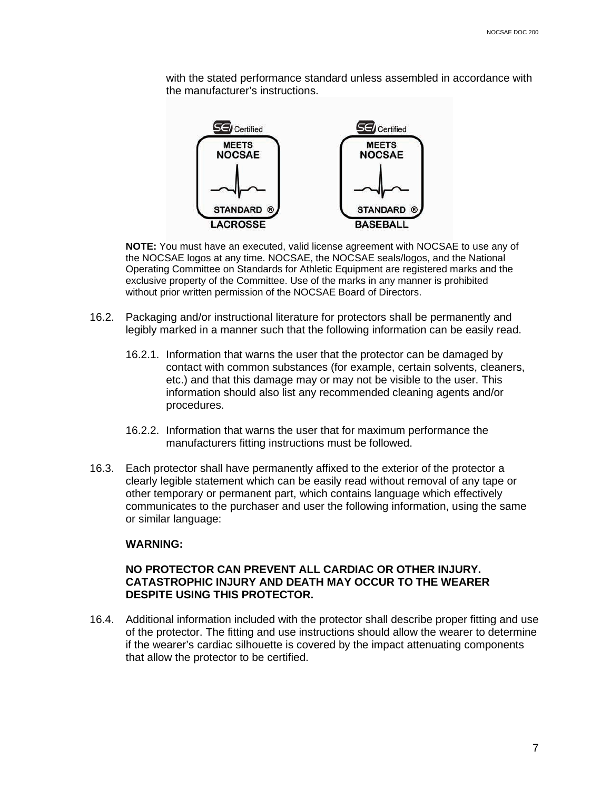with the stated performance standard unless assembled in accordance with the manufacturer's instructions.



**NOTE:** You must have an executed, valid license agreement with NOCSAE to use any of the NOCSAE logos at any time. NOCSAE, the NOCSAE seals/logos, and the National Operating Committee on Standards for Athletic Equipment are registered marks and the exclusive property of the Committee. Use of the marks in any manner is prohibited without prior written permission of the NOCSAE Board of Directors.

- 16.2. Packaging and/or instructional literature for protectors shall be permanently and legibly marked in a manner such that the following information can be easily read.
	- 16.2.1. Information that warns the user that the protector can be damaged by contact with common substances (for example, certain solvents, cleaners, etc.) and that this damage may or may not be visible to the user. This information should also list any recommended cleaning agents and/or procedures.
	- 16.2.2. Information that warns the user that for maximum performance the manufacturers fitting instructions must be followed.
- 16.3. Each protector shall have permanently affixed to the exterior of the protector a clearly legible statement which can be easily read without removal of any tape or other temporary or permanent part, which contains language which effectively communicates to the purchaser and user the following information, using the same or similar language:

#### **WARNING:**

#### **NO PROTECTOR CAN PREVENT ALL CARDIAC OR OTHER INJURY. CATASTROPHIC INJURY AND DEATH MAY OCCUR TO THE WEARER DESPITE USING THIS PROTECTOR.**

16.4. Additional information included with the protector shall describe proper fitting and use of the protector. The fitting and use instructions should allow the wearer to determine if the wearer's cardiac silhouette is covered by the impact attenuating components that allow the protector to be certified.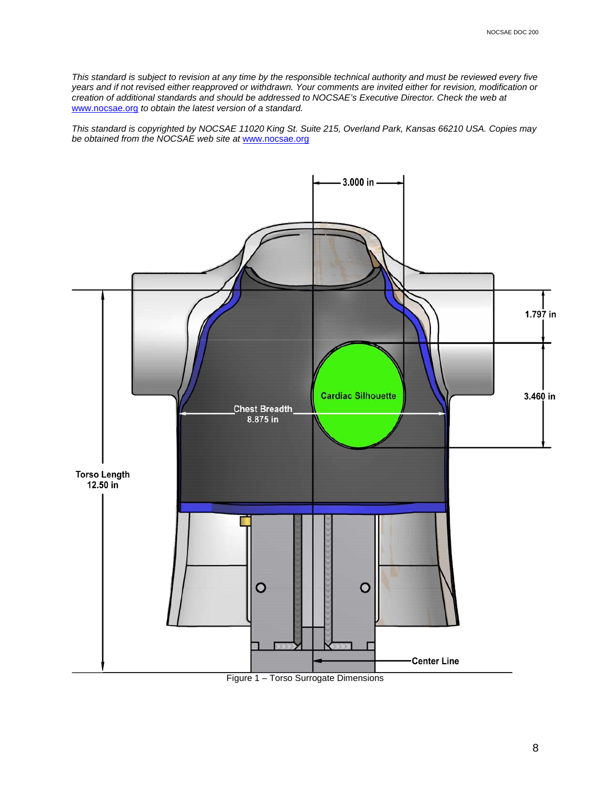*This standard is subject to revision at any time by the responsible technical authority and must be reviewed every five years and if not revised either reapproved or withdrawn. Your comments are invited either for revision, modification or creation of additional standards and should be addressed to NOCSAE's Executive Director. Check the web at*  [www.nocsae.org](http://www.nocsae.org/) *to obtain the latest version of a standard.* 

*This standard is copyrighted by NOCSAE 11020 King St. Suite 215, Overland Park, Kansas 66210 USA. Copies may be obtained from the NOCSAE web site at* www.nocsae.org



Figure 1 – Torso Surrogate Dimensions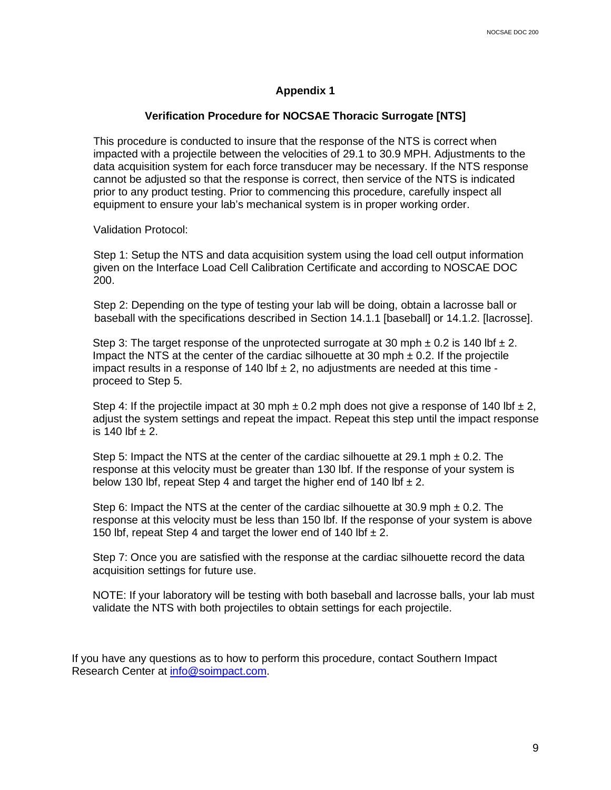### **Appendix 1**

#### **Verification Procedure for NOCSAE Thoracic Surrogate [NTS]**

<span id="page-9-0"></span>This procedure is conducted to insure that the response of the NTS is correct when impacted with a projectile between the velocities of 29.1 to 30.9 MPH. Adjustments to the data acquisition system for each force transducer may be necessary. If the NTS response cannot be adjusted so that the response is correct, then service of the NTS is indicated prior to any product testing. Prior to commencing this procedure, carefully inspect all equipment to ensure your lab's mechanical system is in proper working order.

Validation Protocol:

Step 1: Setup the NTS and data acquisition system using the load cell output information given on the Interface Load Cell Calibration Certificate and according to NOSCAE DOC 200.

Step 2: Depending on the type of testing your lab will be doing, obtain a lacrosse ball or baseball with the specifications described in Section 14.1.1 [baseball] or 14.1.2. [lacrosse].

Step 3: The target response of the unprotected surrogate at 30 mph  $\pm$  0.2 is 140 lbf  $\pm$  2. Impact the NTS at the center of the cardiac silhouette at 30 mph  $\pm$  0.2. If the projectile impact results in a response of 140 lbf  $\pm$  2, no adjustments are needed at this time proceed to Step 5.

Step 4: If the projectile impact at 30 mph  $\pm$  0.2 mph does not give a response of 140 lbf  $\pm$  2, adjust the system settings and repeat the impact. Repeat this step until the impact response is 140 lbf  $\pm 2$ .

Step 5: Impact the NTS at the center of the cardiac silhouette at 29.1 mph  $\pm$  0.2. The response at this velocity must be greater than 130 lbf. If the response of your system is below 130 lbf, repeat Step 4 and target the higher end of 140 lbf  $\pm 2$ .

Step 6: Impact the NTS at the center of the cardiac silhouette at 30.9 mph  $\pm$  0.2. The response at this velocity must be less than 150 lbf. If the response of your system is above 150 lbf, repeat Step 4 and target the lower end of 140 lbf  $\pm 2$ .

Step 7: Once you are satisfied with the response at the cardiac silhouette record the data acquisition settings for future use.

NOTE: If your laboratory will be testing with both baseball and lacrosse balls, your lab must validate the NTS with both projectiles to obtain settings for each projectile.

If you have any questions as to how to perform this procedure, contact Southern Impact Research Center at [info@soimpact.com.](mailto:info@soimpact.com)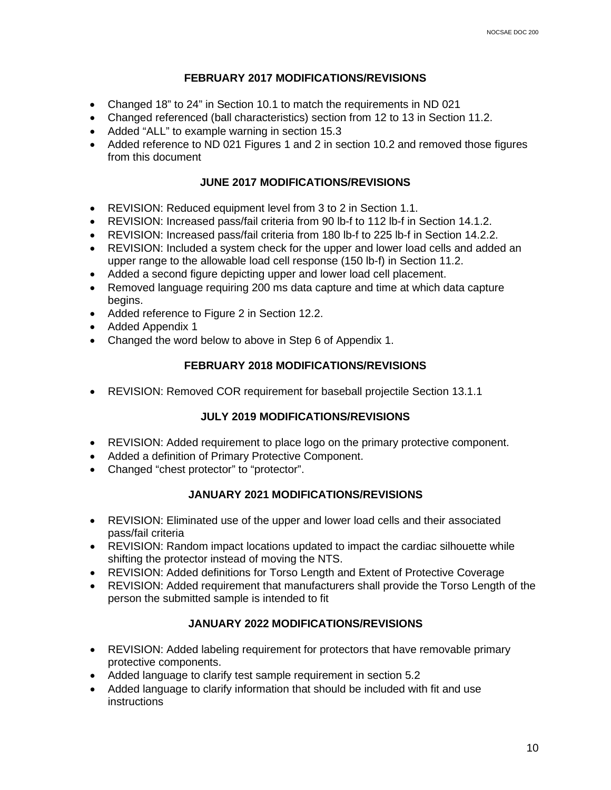### **FEBRUARY 2017 MODIFICATIONS/REVISIONS**

- <span id="page-10-0"></span>• Changed 18" to 24" in Section 10.1 to match the requirements in ND 021
- Changed referenced (ball characteristics) section from 12 to 13 in Section 11.2.
- Added "ALL" to example warning in section 15.3
- Added reference to ND 021 Figures 1 and 2 in section 10.2 and removed those figures from this document

### **JUNE 2017 MODIFICATIONS/REVISIONS**

- <span id="page-10-1"></span>• REVISION: Reduced equipment level from 3 to 2 in Section 1.1.
- REVISION: Increased pass/fail criteria from 90 lb-f to 112 lb-f in Section 14.1.2.
- REVISION: Increased pass/fail criteria from 180 lb-f to 225 lb-f in Section 14.2.2.
- REVISION: Included a system check for the upper and lower load cells and added an upper range to the allowable load cell response (150 lb-f) in Section 11.2.
- Added a second figure depicting upper and lower load cell placement.
- Removed language requiring 200 ms data capture and time at which data capture begins.
- Added reference to Figure 2 in Section 12.2.
- Added Appendix 1
- <span id="page-10-2"></span>• Changed the word below to above in Step 6 of Appendix 1.

## **FEBRUARY 2018 MODIFICATIONS/REVISIONS**

• REVISION: Removed COR requirement for baseball projectile Section 13.1.1

## **JULY 2019 MODIFICATIONS/REVISIONS**

- REVISION: Added requirement to place logo on the primary protective component.
- Added a definition of Primary Protective Component.
- Changed "chest protector" to "protector".

## **JANUARY 2021 MODIFICATIONS/REVISIONS**

- REVISION: Eliminated use of the upper and lower load cells and their associated pass/fail criteria
- REVISION: Random impact locations updated to impact the cardiac silhouette while shifting the protector instead of moving the NTS.
- REVISION: Added definitions for Torso Length and Extent of Protective Coverage
- REVISION: Added requirement that manufacturers shall provide the Torso Length of the person the submitted sample is intended to fit

## **JANUARY 2022 MODIFICATIONS/REVISIONS**

- REVISION: Added labeling requirement for protectors that have removable primary protective components.
- Added language to clarify test sample requirement in section 5.2
- Added language to clarify information that should be included with fit and use instructions